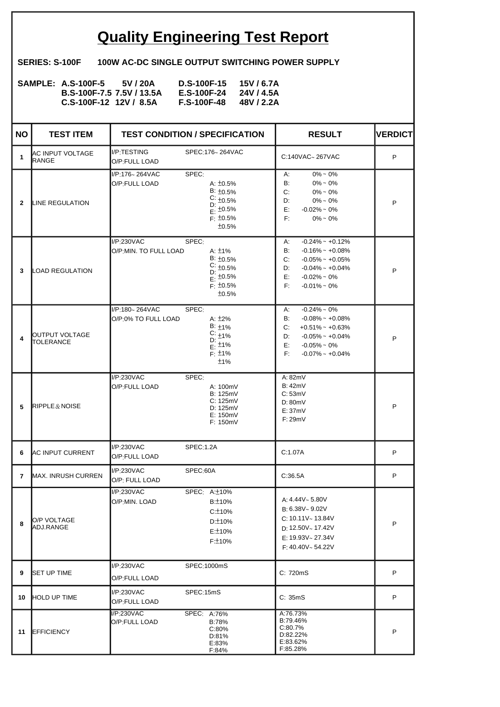## **Quality Engineering Test Report**

**SERIES: S-100F 100W AC-DC SINGLE OUTPUT SWITCHING POWER SUPPLY**

| <b>SAMPLE: A.S-100F-5</b> | 5V / 20A                  | D.S-100F-15 15V/6.7A |            |
|---------------------------|---------------------------|----------------------|------------|
|                           | B.S-100F-7.5 7.5V / 13.5A | E.S-100F-24          | 24V / 4.5A |
| $C.S-100F-12$ 12V / 8.5A  |                           | <b>F.S-100F-48</b>   | 48V / 2.2A |

| <b>NO</b>      | <b>TEST ITEM</b>                 |                                       | <b>TEST CONDITION / SPECIFICATION</b>                                                                                | <b>RESULT</b>                                                                                                                                                                      | <b>VERDICT</b> |
|----------------|----------------------------------|---------------------------------------|----------------------------------------------------------------------------------------------------------------------|------------------------------------------------------------------------------------------------------------------------------------------------------------------------------------|----------------|
| 1              | AC INPUT VOLTAGE<br><b>RANGE</b> | I/P:TESTING<br>O/P:FULL LOAD          | SPEC:176~264VAC                                                                                                      | C:140VAC~267VAC                                                                                                                                                                    | P              |
| $\mathbf{2}$   | LINE REGULATION                  | I/P:176~264VAC<br>O/P:FULL LOAD       | SPEC:<br>A: $±0.5%$<br>$B: \pm 0.5\%$<br>$C: \pm 0.5\%$<br>$D: 10.5\%$<br>E: $\pm 0.5\%$<br>$F: \pm 0.5\%$<br>±0.5%  | $0\% \sim 0\%$<br>A:<br>B:<br>$0\% \sim 0\%$<br>C:<br>$0\% \sim 0\%$<br>D:<br>$0\% \sim 0\%$<br>E:<br>$-0.02\% \sim 0\%$<br>F:<br>$0\% \sim 0\%$                                   | P              |
| 3              | <b>LOAD REGULATION</b>           | I/P:230VAC<br>O/P:MIN. TO FULL LOAD   | SPEC:<br>A: $±1\%$<br>$B: \pm 0.5\%$<br>$C: \pm 0.5\%$<br>D:<br>$E: \pm 0.5\%$<br>$F: \pm 0.5\%$<br>±0.5%            | $-0.24\%$ ~ $+0.12\%$<br>А:<br>B:<br>$-0.16\%$ ~ $+0.08\%$<br>C:<br>$-0.05\% \sim +0.05\%$<br>$-0.04\% \sim +0.04\%$<br>D:<br>E:<br>$-0.02\% \sim 0\%$<br>F:<br>$-0.01\% \sim 0\%$ | P              |
| 4              | OUTPUT VOLTAGE<br>TOLERANCE      | I/P:180~264VAC<br>O/P:0% TO FULL LOAD | SPEC:<br>A: $\pm 2\%$<br>B: $\pm$ 1%<br>$C: 1\frac{1}{2}$<br>D: $\frac{1}{2}$<br>E: $\pm 1\%$<br>$F: \pm 1\%$<br>±1% | $-0.24\% \sim 0\%$<br>А:<br>$-0.08\%$ ~ $+0.08\%$<br>B:<br>C:<br>$+0.51\%$ ~ $+0.63\%$<br>$-0.05\% \sim +0.04\%$<br>D:<br>E:<br>$-0.05\% \sim 0\%$<br>E:<br>$-0.07\%$ ~ $+0.04\%$  | P              |
| 5              | $\mathbb{R}$ IPPLE & NOISE       | I/P:230VAC<br>O/P:FULL LOAD           | SPEC:<br>A: 100mV<br><b>B: 125mV</b><br>C: 125mV<br>D: 125mV<br>E: 150mV<br>F: 150mV                                 | A: 82mV<br><b>B:42mV</b><br>C:53mV<br>D: 80mV<br>E:37mV<br>F:29mV                                                                                                                  | P              |
| 6              | <b>AC INPUT CURRENT</b>          | I/P:230VAC<br>O/P:FULL LOAD           | SPEC:1.2A                                                                                                            | C:1.07A                                                                                                                                                                            | P              |
| $\overline{7}$ | MAX. INRUSH CURREN               | I/P:230VAC<br>O/P: FULL LOAD          | SPEC:60A                                                                                                             | C:36.5A                                                                                                                                                                            | P              |
| 8              | <b>O/P VOLTAGE</b><br>ADJ.RANGE  | I/P:230VAC<br>O/P:MIN. LOAD           | SPEC: A: ±10%<br>B:±10%<br>C:±10%<br>D:±10%<br>E:±10%<br>F:±10%                                                      | A: $4.44V - 5.80V$<br>$B: 6.38V \sim 9.02V$<br>C: 10.11V~ 13.84V<br>D: 12.50V ~ 17.42V<br>$F: 19.93V \sim 27.34V$<br>F: 40.40V ~ 54.22V                                            | P              |
| 9              | <b>SET UP TIME</b>               | I/P:230VAC<br>O/P:FULL LOAD           | SPEC:1000mS                                                                                                          | C: 720mS                                                                                                                                                                           | P              |
| 10             | <b>HOLD UP TIME</b>              | I/P:230VAC<br>O/P:FULL LOAD           | SPEC:15mS                                                                                                            | C: 35mS                                                                                                                                                                            | P              |
| 11             | <b>EFFICIENCY</b>                | I/P:230VAC<br>O/P:FULL LOAD           | SPEC: A:76%<br>B:78%<br>C:80%<br>D:81%<br>E:83%<br>F:84%                                                             | A:76.73%<br>B:79.46%<br>C:80.7%<br>D:82.22%<br>E:83.62%<br>F:85.28%                                                                                                                | P              |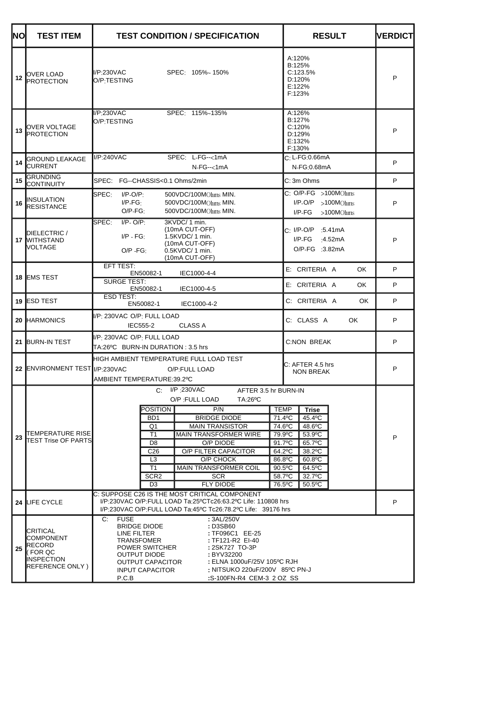| NO | <b>TEST ITEM</b>                                                                  | <b>TEST CONDITION / SPECIFICATION</b>                                                                                                                                                                                                                                                                                                                                                                                                                                   | <b>RESULT</b>                                                                                                                                                                   | <b>NERDICT</b> |
|----|-----------------------------------------------------------------------------------|-------------------------------------------------------------------------------------------------------------------------------------------------------------------------------------------------------------------------------------------------------------------------------------------------------------------------------------------------------------------------------------------------------------------------------------------------------------------------|---------------------------------------------------------------------------------------------------------------------------------------------------------------------------------|----------------|
| 12 | OVER LOAD<br><b>PROTECTION</b>                                                    | I/P:230VAC<br>SPEC: 105%~150%<br>O/P:TESTING                                                                                                                                                                                                                                                                                                                                                                                                                            | A:120%<br>B:125%<br>C:123.5%<br>D:120%<br>E:122%<br>F:123%                                                                                                                      | P              |
| 13 | OVER VOLTAGE<br><b>PROTECTION</b>                                                 | I/P:230VAC<br>SPEC: 115%~135%<br>O/P:TESTING                                                                                                                                                                                                                                                                                                                                                                                                                            | A:126%<br>B:127%<br>C:120%<br>D:129%<br>E:132%<br>F:130%                                                                                                                        | P              |
| 14 | GROUND LEAKAGE<br><b>CURRENT</b>                                                  | I/P:240VAC<br>SPEC: L-FG--<1mA<br>$N-FG - < 1mA$                                                                                                                                                                                                                                                                                                                                                                                                                        | C: L-FG:0.66mA<br>N-FG: 0.68mA                                                                                                                                                  | P              |
| 15 | <b>GRUNDING</b><br><b>CONTINUITY</b>                                              | SPEC: FG--CHASSIS<0.1 Ohms/2min                                                                                                                                                                                                                                                                                                                                                                                                                                         | C: 3m Ohms                                                                                                                                                                      | P              |
| 16 | <b>INSULATION</b><br><b>RESISTANCE</b>                                            | SPEC:<br>$I/P-O/P$ :<br>500VDC/100MOhms MIN.<br>$I/P-FG$<br>500VDC/100MOhms MIN.<br>$O/P-FG_1$<br>500VDC/100MOhms MIN.                                                                                                                                                                                                                                                                                                                                                  | $C: O/P-FG > 100MOhms$<br>$I/P$ -O/P >100MOhms<br>$I/P-FG > 100MOhms$                                                                                                           | P              |
|    | DIELECTRIC /<br>17 WITHSTAND<br>VOLTAGE                                           | $I/P - O/P$ :<br>3KVDC/ 1 min.<br>lSPEC∶<br>(10mA CUT-OFF)<br>$IP - FG$<br>$1.5$ KVDC/ 1 min.<br>(10mA CUT-OFF)<br>0.5KVDC/1 min.<br>$O/P - FG$<br>(10mA CUT-OFF)                                                                                                                                                                                                                                                                                                       | C: I/P-O/P :5.41mA<br>I/P-FG<br>:4.52 $mA$<br>O/P-FG :3.82mA                                                                                                                    | P              |
|    | 18 EMS TEST                                                                       | EFT TEST:<br>EN50082-1<br>IEC1000-4-4<br>SURGE TEST:                                                                                                                                                                                                                                                                                                                                                                                                                    | E: CRITERIA A<br>OK.                                                                                                                                                            | P              |
|    |                                                                                   | EN50082-1<br>IEC1000-4-5<br>ESD TEST:                                                                                                                                                                                                                                                                                                                                                                                                                                   | E: CRITERIA A<br>OK.                                                                                                                                                            | P              |
|    | <b>19 ESD TEST</b>                                                                | EN50082-1<br>IEC1000-4-2                                                                                                                                                                                                                                                                                                                                                                                                                                                | C: CRITERIA A<br>OK.                                                                                                                                                            | P              |
|    | 20 HARMONICS                                                                      | I/P: 230VAC O/P: FULL LOAD<br>IEC555-2<br><b>CLASS A</b>                                                                                                                                                                                                                                                                                                                                                                                                                | C: CLASS A<br>OK.                                                                                                                                                               | P              |
|    | 21 BURN-IN TEST                                                                   | I/P: 230VAC O/P: FULL LOAD<br>TA:26ºC BURN-IN DURATION : 3.5 hrs                                                                                                                                                                                                                                                                                                                                                                                                        | C:NON BREAK                                                                                                                                                                     | P              |
|    | 22 ENVIRONMENT TEST I/P:230VAC                                                    | HIGH AMBIENT TEMPERATURE FULL LOAD TEST<br>O/P:FULL LOAD<br>AMBIENT TEMPERATURE-39.2°C                                                                                                                                                                                                                                                                                                                                                                                  | C: AFTER 4.5 hrs<br><b>NON BREAK</b>                                                                                                                                            | P              |
| 23 | TEMPERATURE RISE<br>TEST Trise OF PARTS                                           | $C: I/P$ : 230VAC<br>AFTER 3.5 hr BURN-IN<br>O/P : FULL LOAD<br>TA:26°C<br>POSITION<br>P/N<br><b>TEMP</b><br><b>BRIDGE DIODE</b><br>B <sub>D</sub> 1<br><b>MAIN TRANSISTOR</b><br>Q1<br>T <sub>1</sub><br><b>MAIN TRANSFORMER WIRE</b><br>D <sub>8</sub><br>O/P DIODE<br>91.7°C<br>C <sub>26</sub><br>O/P FILTER CAPACITOR<br>L <sub>3</sub><br>O/P CHOCK<br>T1<br><b>MAIN TRANSFORMER COIL</b><br>SCR <sub>2</sub><br><b>SCR</b><br>D <sub>3</sub><br><b>FLY DIODE</b> | Trise<br>71.4°C<br>45.4°C<br>74.6°C<br>48.6°C<br>79.9°C<br>53.9°C<br>65.7°C<br>64.2°C<br>38.2°C<br>86.8°C<br>60.8°C<br>90.5°C<br>64.5°C<br>58.7°C<br>32.7°C<br>76.5°C<br>50.5°C | P              |
|    | 24 LIFE CYCLE                                                                     | C: SUPPOSE C26 IS THE MOST CRITICAL COMPONENT<br>I/P:230VAC O/P:FULL LOAD Ta:25°CTc26:63.2°C Life: 110808 hrs<br>I/P:230VAC O/P:FULL LOAD Ta:45°C Tc26:78.2°C Life: 39176 hrs                                                                                                                                                                                                                                                                                           |                                                                                                                                                                                 | P              |
| 25 | CRITICAL<br>COMPONENT<br>RECORD<br>FOR QC<br><b>INSPECTION</b><br>REFERENCE ONLY) | <b>FUSE</b><br>: 3AL/250V<br>C:<br>: D3SB60<br><b>BRIDGE DIODE</b><br>LINE FILTER<br>: TF096C1 EE-25<br><b>TRANSFOMER</b><br>: TF121-R2 EI-40<br>POWER SWITCHER<br>: 2SK727 TO-3P<br><b>OUTPUT DIODE</b><br>: BYV32200<br>: ELNA 1000uF/25V 105°C RJH<br>OUTPUT CAPACITOR<br>: NITSUKO 220uF/200V 85°C PN-J<br><b>INPUT CAPACITOR</b><br>P.C.B<br>:S-100FN-R4 CEM-3 2 OZ SS                                                                                             |                                                                                                                                                                                 |                |